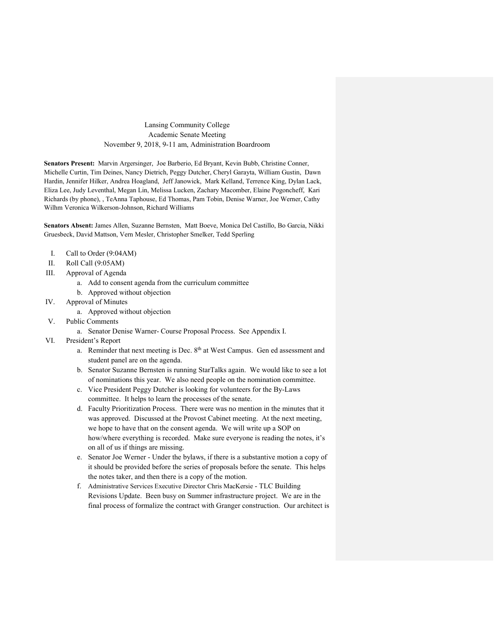### Lansing Community College Academic Senate Meeting November 9, 2018, 9-11 am, Administration Boardroom

**Senators Present:** Marvin Argersinger, Joe Barberio, Ed Bryant, Kevin Bubb, Christine Conner, Michelle Curtin, Tim Deines, Nancy Dietrich, Peggy Dutcher, Cheryl Garayta, William Gustin, Dawn Hardin, Jennifer Hilker, Andrea Hoagland, Jeff Janowick, Mark Kelland, Terrence King, Dylan Lack, Eliza Lee, Judy Leventhal, Megan Lin, Melissa Lucken, Zachary Macomber, Elaine Pogoncheff, Kari Richards (by phone), , TeAnna Taphouse, Ed Thomas, Pam Tobin, Denise Warner, Joe Werner, Cathy Wilhm Veronica Wilkerson-Johnson, Richard Williams

**Senators Absent:** James Allen, Suzanne Bernsten, Matt Boeve, Monica Del Castillo, Bo Garcia, Nikki Gruesbeck, David Mattson, Vern Mesler, Christopher Smelker, Tedd Sperling

- I. Call to Order (9:04AM)
- II. Roll Call (9:05AM)
- III. Approval of Agenda
	- a. Add to consent agenda from the curriculum committee
	- b. Approved without objection
- IV. Approval of Minutes
	- a. Approved without objection
- V. Public Comments
	- a. Senator Denise Warner- Course Proposal Process. See Appendix I.
- VI. President's Report
	- a. Reminder that next meeting is Dec. 8<sup>th</sup> at West Campus. Gen ed assessment and student panel are on the agenda.
	- b. Senator Suzanne Bernsten is running StarTalks again. We would like to see a lot of nominations this year. We also need people on the nomination committee.
	- c. Vice President Peggy Dutcher is looking for volunteers for the By-Laws committee. It helps to learn the processes of the senate.
	- d. Faculty Prioritization Process. There were was no mention in the minutes that it was approved. Discussed at the Provost Cabinet meeting. At the next meeting, we hope to have that on the consent agenda. We will write up a SOP on how/where everything is recorded. Make sure everyone is reading the notes, it's on all of us if things are missing.
	- e. Senator Joe Werner Under the bylaws, if there is a substantive motion a copy of it should be provided before the series of proposals before the senate. This helps the notes taker, and then there is a copy of the motion.
	- f. Administrative Services Executive Director Chris MacKersie TLC Building Revisions Update. Been busy on Summer infrastructure project. We are in the final process of formalize the contract with Granger construction. Our architect is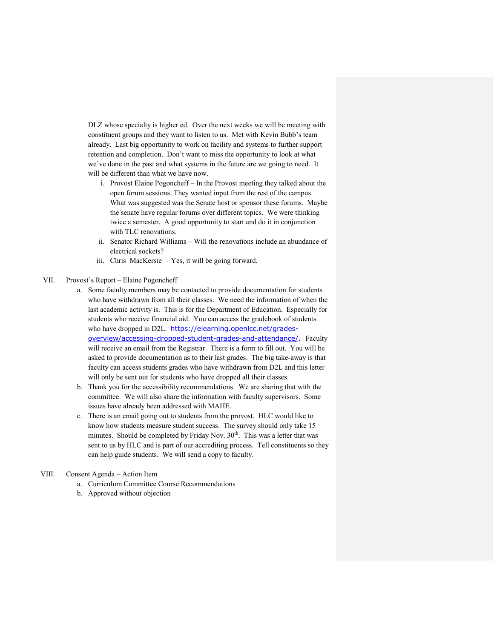DLZ whose specialty is higher ed. Over the next weeks we will be meeting with constituent groups and they want to listen to us. Met with Kevin Bubb's team already. Last big opportunity to work on facility and systems to further support retention and completion. Don't want to miss the opportunity to look at what we've done in the past and what systems in the future are we going to need. It will be different than what we have now.

- i. Provost Elaine Pogoncheff In the Provost meeting they talked about the open forum sessions. They wanted input from the rest of the campus. What was suggested was the Senate host or sponsor these forums. Maybe the senate have regular forums over different topics. We were thinking twice a semester. A good opportunity to start and do it in conjunction with TLC renovations.
- ii. Senator Richard Williams Will the renovations include an abundance of electrical sockets?
- iii. Chris MacKersie Yes, it will be going forward.
- VII. Provost's Report Elaine Pogoncheff
	- a. Some faculty members may be contacted to provide documentation for students who have withdrawn from all their classes. We need the information of when the last academic activity is. This is for the Department of Education. Especially for students who receive financial aid. You can access the gradebook of students who have dropped in D2L. [https://elearning.openlcc.net/grades](https://elearning.openlcc.net/grades-overview/accessing-dropped-student-grades-and-attendance/)[overview/accessing-dropped-student-grades-and-attendance/.](https://elearning.openlcc.net/grades-overview/accessing-dropped-student-grades-and-attendance/) Faculty will receive an email from the Registrar. There is a form to fill out. You will be asked to provide documentation as to their last grades. The big take-away is that faculty can access students grades who have withdrawn from D2L and this letter will only be sent out for students who have dropped all their classes.
	- b. Thank you for the accessibility recommendations. We are sharing that with the committee. We will also share the information with faculty supervisors. Some issues have already been addressed with MAHE.
	- c. There is an email going out to students from the provost. HLC would like to know how students measure student success. The survey should only take 15 minutes. Should be completed by Friday Nov. 30<sup>th</sup>. This was a letter that was sent to us by HLC and is part of our accrediting process. Tell constituents so they can help guide students. We will send a copy to faculty.

#### VIII. Consent Agenda – Action Item

- a. Curriculum Committee Course Recommendations
- b. Approved without objection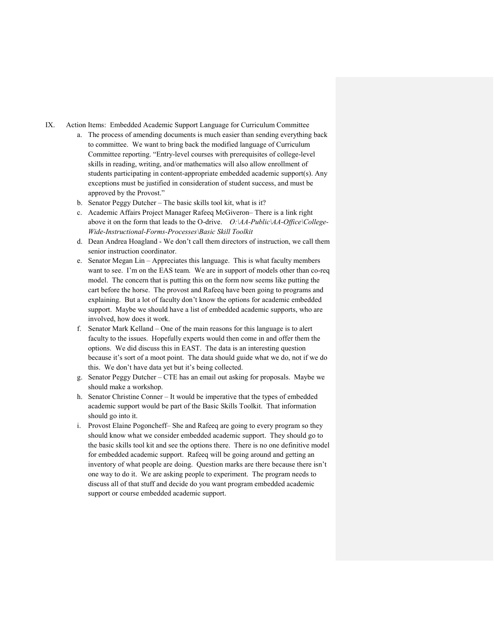IX. Action Items: Embedded Academic Support Language for Curriculum Committee

- a. The process of amending documents is much easier than sending everything back to committee. We want to bring back the modified language of Curriculum Committee reporting. "Entry-level courses with prerequisites of college-level skills in reading, writing, and/or mathematics will also allow enrollment of students participating in content-appropriate embedded academic support(s). Any exceptions must be justified in consideration of student success, and must be approved by the Provost."
- b. Senator Peggy Dutcher The basic skills tool kit, what is it?
- c. Academic Affairs Project Manager Rafeeq McGiveron– There is a link right above it on the form that leads to the O-drive. *O:\AA-Public\AA-Office\College-Wide-Instructional-Forms-Processes\Basic Skill Toolkit*
- d. Dean Andrea Hoagland We don't call them directors of instruction, we call them senior instruction coordinator.
- e. Senator Megan Lin Appreciates this language. This is what faculty members want to see. I'm on the EAS team. We are in support of models other than co-req model. The concern that is putting this on the form now seems like putting the cart before the horse. The provost and Rafeeq have been going to programs and explaining. But a lot of faculty don't know the options for academic embedded support. Maybe we should have a list of embedded academic supports, who are involved, how does it work.
- f. Senator Mark Kelland One of the main reasons for this language is to alert faculty to the issues. Hopefully experts would then come in and offer them the options. We did discuss this in EAST. The data is an interesting question because it's sort of a moot point. The data should guide what we do, not if we do this. We don't have data yet but it's being collected.
- g. Senator Peggy Dutcher CTE has an email out asking for proposals. Maybe we should make a workshop.
- h. Senator Christine Conner It would be imperative that the types of embedded academic support would be part of the Basic Skills Toolkit. That information should go into it.
- i. Provost Elaine Pogoncheff– She and Rafeeq are going to every program so they should know what we consider embedded academic support. They should go to the basic skills tool kit and see the options there. There is no one definitive model for embedded academic support. Rafeeq will be going around and getting an inventory of what people are doing. Question marks are there because there isn't one way to do it. We are asking people to experiment. The program needs to discuss all of that stuff and decide do you want program embedded academic support or course embedded academic support.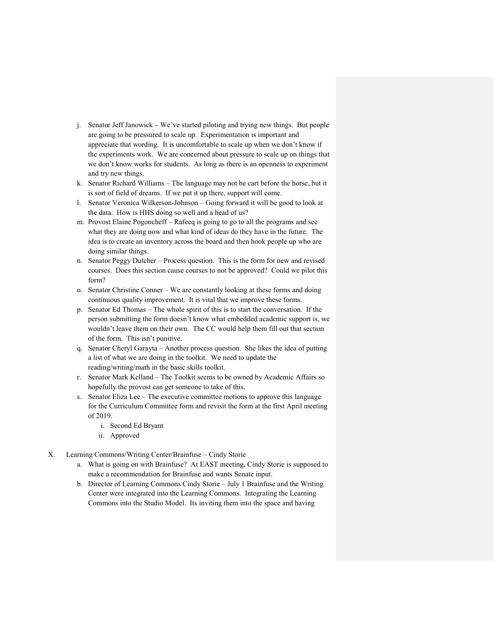- j. Senator Jeff Janowick We've started piloting and trying new things. But people are going to be pressured to scale up. Experimentation is important and appreciate that wording. It is uncomfortable to scale up when we don't know if the experiments work. We are concerned about pressure to scale up on things that we don't know works for students. As long as there is an openness to experiment and try new things.
- k. Senator Richard Williams The language may not be cart before the horse, but it is sort of field of dreams. If we put it up there, support will come.
- l. Senator Veronica Wilkerson-Johnson Going forward it will be good to look at the data. How is HHS doing so well and a head of us?
- m. Provost Elaine Pogoncheff Rafeeq is going to go to all the programs and see what they are doing now and what kind of ideas do they have in the future. The idea is to create an inventory across the board and then hook people up who are doing similar things.
- n. Senator Peggy Dutcher Process question. This is the form for new and revised courses. Does this section cause courses to not be approved? Could we pilot this form?
- o. Senator Christine Conner We are constantly looking at these forms and doing continuous quality improvement. It is vital that we improve these forms.
- p. Senator Ed Thomas The whole spirit of this is to start the conversation. If the person submitting the form doesn't know what embedded academic support is, we wouldn't leave them on their own. The CC would help them fill out that section of the form. This isn't punitive.
- q. Senator Cheryl Garayta Another process question. She likes the idea of putting a list of what we are doing in the toolkit. We need to update the reading/writing/math in the basic skills toolkit.
- r. Senator Mark Kelland The Toolkit seems to be owned by Academic Affairs so hopefully the provost can get someone to take of this.
- s. Senator Eliza Lee The executive committee motions to approve this language for the Curriculum Committee form and revisit the form at the first April meeting of 2019.
	- i. Second Ed Bryant
	- ii. Approved
- X. Learning Commons/Writing Center/Brainfuse Cindy Storie
	- a. What is going on with Brainfuse? At EAST meeting, Cindy Storie is supposed to make a recommendation for Brainfuse and wants Senate input.
	- b. Director of Learning Commons Cindy Storie July 1 Brainfuse and the Writing Center were integrated into the Learning Commons. Integrating the Learning Commons into the Studio Model. Its inviting them into the space and having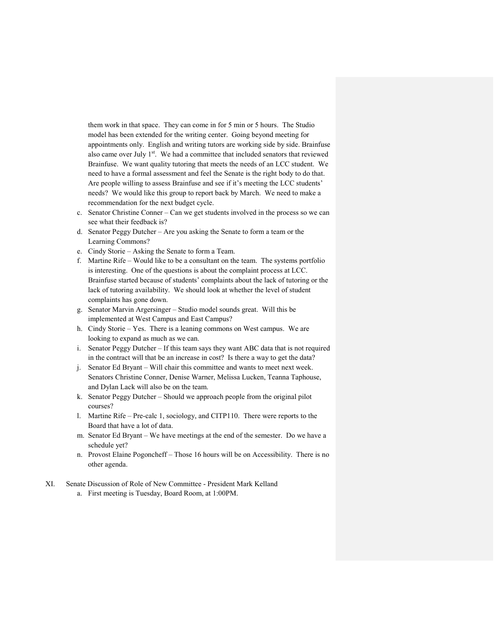them work in that space. They can come in for 5 min or 5 hours. The Studio model has been extended for the writing center. Going beyond meeting for appointments only. English and writing tutors are working side by side. Brainfuse also came over July 1<sup>st</sup>. We had a committee that included senators that reviewed Brainfuse. We want quality tutoring that meets the needs of an LCC student. We need to have a formal assessment and feel the Senate is the right body to do that. Are people willing to assess Brainfuse and see if it's meeting the LCC students' needs? We would like this group to report back by March. We need to make a recommendation for the next budget cycle.

- c. Senator Christine Conner Can we get students involved in the process so we can see what their feedback is?
- d. Senator Peggy Dutcher Are you asking the Senate to form a team or the Learning Commons?
- e. Cindy Storie Asking the Senate to form a Team.
- f. Martine Rife Would like to be a consultant on the team. The systems portfolio is interesting. One of the questions is about the complaint process at LCC. Brainfuse started because of students' complaints about the lack of tutoring or the lack of tutoring availability. We should look at whether the level of student complaints has gone down.
- g. Senator Marvin Argersinger Studio model sounds great. Will this be implemented at West Campus and East Campus?
- h. Cindy Storie Yes. There is a leaning commons on West campus. We are looking to expand as much as we can.
- i. Senator Peggy Dutcher If this team says they want ABC data that is not required in the contract will that be an increase in cost? Is there a way to get the data?
- j. Senator Ed Bryant Will chair this committee and wants to meet next week. Senators Christine Conner, Denise Warner, Melissa Lucken, Teanna Taphouse, and Dylan Lack will also be on the team.
- k. Senator Peggy Dutcher Should we approach people from the original pilot courses?
- l. Martine Rife Pre-calc 1, sociology, and CITP110. There were reports to the Board that have a lot of data.
- m. Senator Ed Bryant We have meetings at the end of the semester. Do we have a schedule yet?
- n. Provost Elaine Pogoncheff Those 16 hours will be on Accessibility. There is no other agenda.
- XI. Senate Discussion of Role of New Committee President Mark Kelland
	- a. First meeting is Tuesday, Board Room, at 1:00PM.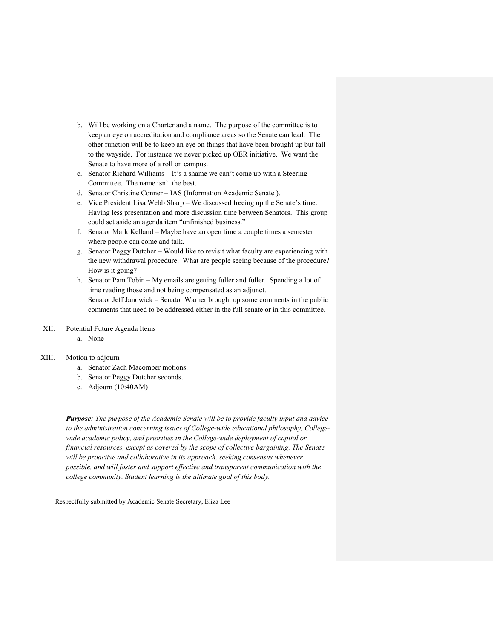- b. Will be working on a Charter and a name. The purpose of the committee is to keep an eye on accreditation and compliance areas so the Senate can lead. The other function will be to keep an eye on things that have been brought up but fall to the wayside. For instance we never picked up OER initiative. We want the Senate to have more of a roll on campus.
- c. Senator Richard Williams It's a shame we can't come up with a Steering Committee. The name isn't the best.
- d. Senator Christine Conner IAS (Information Academic Senate ).
- e. Vice President Lisa Webb Sharp We discussed freeing up the Senate's time. Having less presentation and more discussion time between Senators. This group could set aside an agenda item "unfinished business."
- f. Senator Mark Kelland Maybe have an open time a couple times a semester where people can come and talk.
- g. Senator Peggy Dutcher Would like to revisit what faculty are experiencing with the new withdrawal procedure. What are people seeing because of the procedure? How is it going?
- h. Senator Pam Tobin My emails are getting fuller and fuller. Spending a lot of time reading those and not being compensated as an adjunct.
- i. Senator Jeff Janowick Senator Warner brought up some comments in the public comments that need to be addressed either in the full senate or in this committee.
- XII. Potential Future Agenda Items
	- a. None

#### XIII. Motion to adjourn

- a. Senator Zach Macomber motions.
- b. Senator Peggy Dutcher seconds.
- c. Adjourn (10:40AM)

*Purpose: The purpose of the Academic Senate will be to provide faculty input and advice to the administration concerning issues of College-wide educational philosophy, Collegewide academic policy, and priorities in the College-wide deployment of capital or financial resources, except as covered by the scope of collective bargaining. The Senate will be proactive and collaborative in its approach, seeking consensus whenever possible, and will foster and support effective and transparent communication with the college community. Student learning is the ultimate goal of this body.*

Respectfully submitted by Academic Senate Secretary, Eliza Lee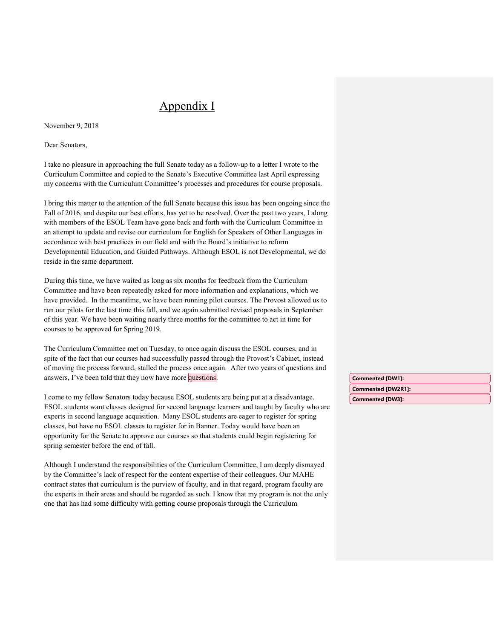# Appendix I

November 9, 2018

Dear Senators,

I take no pleasure in approaching the full Senate today as a follow-up to a letter I wrote to the Curriculum Committee and copied to the Senate's Executive Committee last April expressing my concerns with the Curriculum Committee's processes and procedures for course proposals.

I bring this matter to the attention of the full Senate because this issue has been ongoing since the Fall of 2016, and despite our best efforts, has yet to be resolved. Over the past two years, I along with members of the ESOL Team have gone back and forth with the Curriculum Committee in an attempt to update and revise our curriculum for English for Speakers of Other Languages in accordance with best practices in our field and with the Board's initiative to reform Developmental Education, and Guided Pathways. Although ESOL is not Developmental, we do reside in the same department.

During this time, we have waited as long as six months for feedback from the Curriculum Committee and have been repeatedly asked for more information and explanations, which we have provided.In the meantime, we have been running pilot courses. The Provost allowed us to run our pilots for the last time this fall, and we again submitted revised proposals in September of this year. We have been waiting nearly three months for the committee to act in time for courses to be approved for Spring 2019.

The Curriculum Committee met on Tuesday, to once again discuss the ESOL courses, and in spite of the fact that our courses had successfully passed through the Provost's Cabinet, instead of moving the process forward, stalled the process once again. After two years of questions and answers, I've been told that they now have more questions.

I come to my fellow Senators today because ESOL students are being put at a disadvantage. ESOL students want classes designed for second language learners and taught by faculty who are experts in second language acquisition. Many ESOL students are eager to register for spring classes, but have no ESOL classes to register for in Banner. Today would have been an opportunity for the Senate to approve our courses so that students could begin registering for spring semester before the end of fall.

Although I understand the responsibilities of the Curriculum Committee, I am deeply dismayed by the Committee's lack of respect for the content expertise of their colleagues. Our MAHE contract states that curriculum is the purview of faculty, and in that regard, program faculty are the experts in their areas and should be regarded as such. I know that my program is not the only one that has had some difficulty with getting course proposals through the Curriculum

**Commented [DW3]: Commented [DW1]: Commented [DW2R1]:**